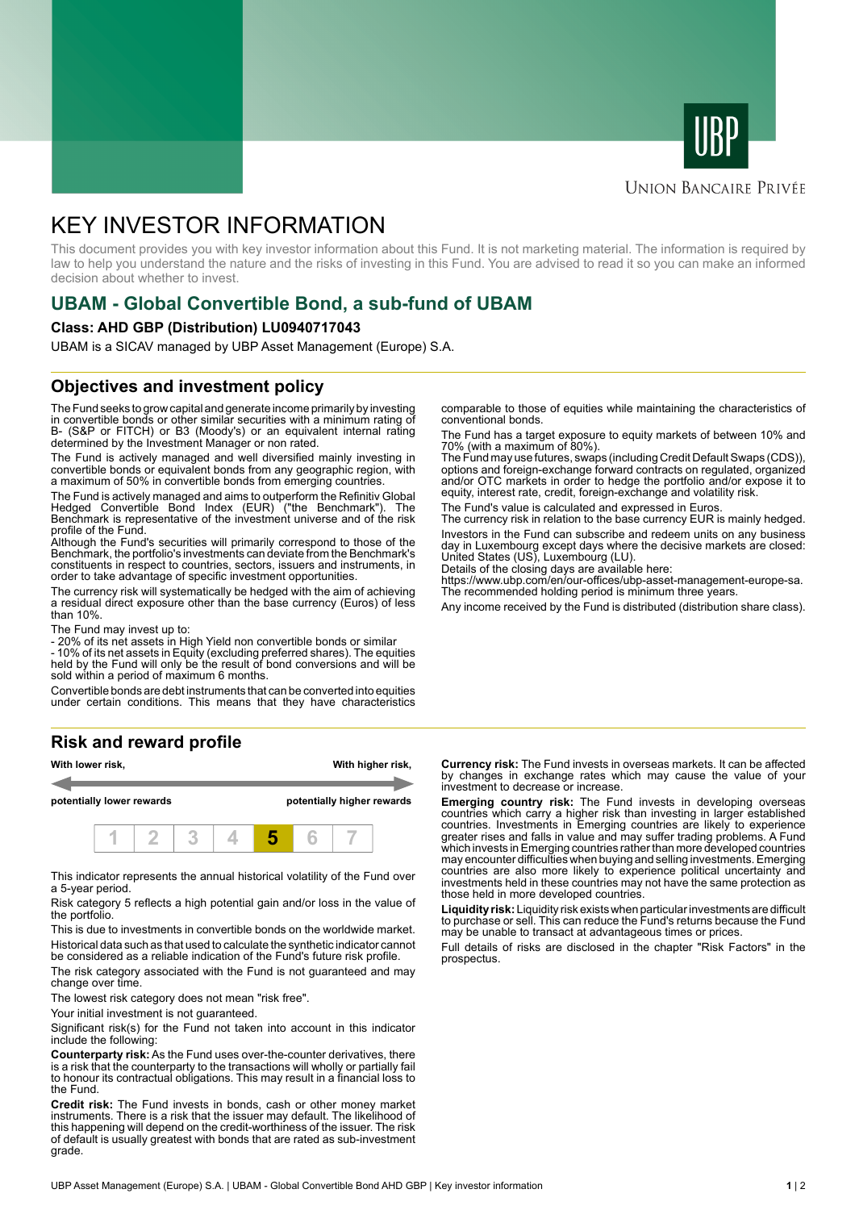



### **UNION BANCAIRE PRIVÉE**

# KEY INVESTOR INFORMATION

This document provides you with key investor information about this Fund. It is not marketing material. The information is required by law to help you understand the nature and the risks of investing in this Fund. You are advised to read it so you can make an informed decision about whether to invest.

# **UBAM - Global Convertible Bond, a sub-fund of UBAM**

#### **Class: AHD GBP (Distribution) LU0940717043**

UBAM is a SICAV managed by UBP Asset Management (Europe) S.A.

# **Objectives and investment policy**

The Fund seeks to grow capital and generate income primarily by investing in convertible bonds or other similar securities with a minimum rating of B- (S&P or FITCH) or B3 (Moody's) or an equivalent internal rating determined by the Investment Manager or non rated.

The Fund is actively managed and well diversified mainly investing in convertible bonds or equivalent bonds from any geographic region, with a maximum of 50% in convertible bonds from emerging countries.

The Fund is actively managed and aims to outperform the Refinitiv Global Hedged Convertible Bond Index (EUR) ("the Benchmark"). The Benchmark is representative of the investment universe and of the risk profile of the Fund.

Although the Fund's securities will primarily correspond to those of the Benchmark, the portfolio's investments can deviate from the Benchmark's constituents in respect to countries, sectors, issuers and instruments, in order to take advantage of specific investment opportunities.

The currency risk will systematically be hedged with the aim of achieving a residual direct exposure other than the base currency (Euros) of less than 10%.

The Fund may invest up to:

- 20% of its net assets in High Yield non convertible bonds or similar

- 10% of its net assets in Equity (excluding preferred shares). The equities held by the Fund will only be the result of bond conversions and will be sold within a period of maximum 6 months.

Convertible bonds are debt instruments that can be converted into equities under certain conditions. This means that they have characteristics

# **Risk and reward profile**



This indicator represents the annual historical volatility of the Fund over a 5-year period.

Risk category 5 reflects a high potential gain and/or loss in the value of the portfolio.

This is due to investments in convertible bonds on the worldwide market. Historical data such as that used to calculate the synthetic indicator cannot be considered as a reliable indication of the Fund's future risk profile.

The risk category associated with the Fund is not guaranteed and may change over time.

The lowest risk category does not mean "risk free".

Your initial investment is not quaranteed.

Significant risk(s) for the Fund not taken into account in this indicator include the following:

**Counterparty risk:** As the Fund uses over-the-counter derivatives, there is a risk that the counterparty to the transactions will wholly or partially fail to honour its contractual obligations. This may result in a financial loss to the Fund.

**Credit risk:** The Fund invests in bonds, cash or other money market instruments. There is a risk that the issuer may default. The likelihood of this happening will depend on the credit-worthiness of the issuer. The risk of default is usually greatest with bonds that are rated as sub-investment grade.

comparable to those of equities while maintaining the characteristics of conventional bonds.

The Fund has a target exposure to equity markets of between 10% and 70% (with a maximum of 80%).

The Fund may use futures, swaps (including Credit Default Swaps (CDS)), options and foreign-exchange forward contracts on regulated, organized and/or OTC markets in order to hedge the portfolio and/or expose it to equity, interest rate, credit, foreign-exchange and volatility risk.

The Fund's value is calculated and expressed in Euros.

The currency risk in relation to the base currency EUR is mainly hedged. Investors in the Fund can subscribe and redeem units on any business day in Luxembourg except days where the decisive markets are closed: United States (US), Luxembourg (LU).

Details of the closing days are available here:

https://www.ubp.com/en/our-offices/ubp-asset-management-europe-sa. The recommended holding period is minimum three years.

Any income received by the Fund is distributed (distribution share class).

**Currency risk:** The Fund invests in overseas markets. It can be affected by changes in exchange rates which may cause the value of your investment to decrease or increase.

**Emerging country risk:** The Fund invests in developing overseas countries which carry a higher risk than investing in larger established countries. Investments in Emerging countries are likely to experience greater rises and falls in value and may suffer trading problems. A Fund which invests in Emerging countries rather than more developed countries may encounter difficulties when buying and selling investments. Emerging countries are also more likely to experience political uncertainty and investments held in these countries may not have the same protection as those held in more developed countries.

**Liquidity risk:** Liquidity risk exists when particular investments are difficult to purchase or sell. This can reduce the Fund's returns because the Fund may be unable to transact at advantageous times or prices.

Full details of risks are disclosed in the chapter "Risk Factors" in the prospectus.